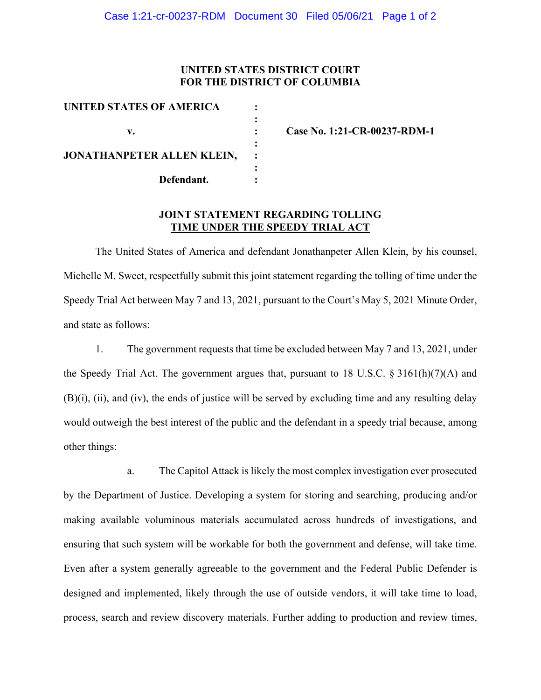## **UNITED STATES DISTRICT COURT FOR THE DISTRICT OF COLUMBIA**

| UNITED STATES OF AMERICA   |  |
|----------------------------|--|
|                            |  |
| v.                         |  |
|                            |  |
| JONATHANPETER ALLEN KLEIN, |  |
|                            |  |
| Defendant.                 |  |
|                            |  |

**v. : Case No. 1:21-CR-00237-RDM-1**

## **JOINT STATEMENT REGARDING TOLLING TIME UNDER THE SPEEDY TRIAL ACT**

The United States of America and defendant Jonathanpeter Allen Klein, by his counsel, Michelle M. Sweet, respectfully submit this joint statement regarding the tolling of time under the Speedy Trial Act between May 7 and 13, 2021, pursuant to the Court's May 5, 2021 Minute Order, and state as follows:

1. The government requests that time be excluded between May 7 and 13, 2021, under the Speedy Trial Act. The government argues that, pursuant to 18 U.S.C.  $\S 3161(h)(7)(A)$  and (B)(i), (ii), and (iv), the ends of justice will be served by excluding time and any resulting delay would outweigh the best interest of the public and the defendant in a speedy trial because, among other things:

a. The Capitol Attack is likely the most complex investigation ever prosecuted by the Department of Justice. Developing a system for storing and searching, producing and/or making available voluminous materials accumulated across hundreds of investigations, and ensuring that such system will be workable for both the government and defense, will take time. Even after a system generally agreeable to the government and the Federal Public Defender is designed and implemented, likely through the use of outside vendors, it will take time to load, process, search and review discovery materials. Further adding to production and review times,